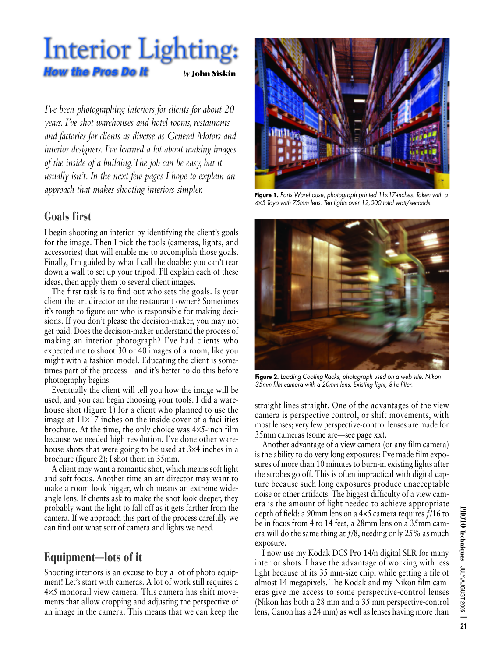# **Interior Lighting: How the Pros Do It** *by* **John Siskin**

*I've been photographing interiors for clients for about 20 years. I've shot warehouses and hotel rooms, restaurants and factories for clients as diverse as General Motors and interior designers. I've learned a lot about making images of the inside of a building.The job can be easy, but it usually isn't. In the next few pages I hope to explain an approach that makes shooting interiors simpler.*

## **Goals first**

**I begin shooting an interior by identifying the client's goals for the image. Then I pick the tools (cameras, lights, and accessories) that will enable me to accomplish those goals. Finally, I'm guided by what I call the doable: you can't tear down a wall to set up your tripod. I'll explain each of these ideas, then apply them to several client images.**

**The first task is to find out who sets the goals. Is your client the art director or the restaurant owner? Sometimes it's tough to figure out who is responsible for making decisions. If you don't please the decision-maker, you may not get paid. Does the decision-maker understand the process of making an interior photograph? I've had clients who expected me to shoot 30 or 40 images of a room, like you might with a fashion model. Educating the client is sometimes part of the process—and it's better to do this before photography begins.** 

**Eventually the client will tell you how the image will be used, and you can begin choosing your tools. I did a warehouse shot (figure 1) for a client who planned to use the image at 11**×**17 inches on the inside cover of a facilities brochure. At the time, the only choice was 4**×**5-inch film because we needed high resolution. I've done other warehouse shots that were going to be used at 3**×**4 inches in a brochure (figure 2); I shot them in 35mm.** 

**A client may want a romantic shot, which means soft light and soft focus. Another time an art director may want to make a room look bigger, which means an extreme wideangle lens. If clients ask to make the shot look deeper, they probably want the light to fall off as it gets farther from the camera. If we approach this part of the process carefully we can find out what sort of camera and lights we need.**

# **Equipment—lots of it**

**Shooting interiors is an excuse to buy a lot of photo equipment! Let's start with cameras. A lot of work still requires a 4**×**5 monorail view camera. This camera has shift movements that allow cropping and adjusting the perspective of an image in the camera. This means that we can keep the**



Figure 1. Parts Warehouse, photograph printed 11×17-inches. Taken with a 4×5 Toyo with 75mm lens. Ten lights over 12,000 total watt/seconds.



Figure 2. Loading Cooling Racks, photograph used on a web site. Nikon 35mm film camera with a 20mm lens. Existing light, 81c filter.

**straight lines straight. One of the advantages of the view camera is perspective control, or shift movements, with most lenses; very few perspective-control lenses are made for 35mm cameras (some are—see page xx).** 

**Another advantage of a view camera (or any film camera) is the ability to do very long exposures: I've made film exposures of more than 10 minutes to burn-in existing lights after the strobes go off. This is often impractical with digital capture because such long exposures produce unacceptable noise or other artifacts. The biggest difficulty of a view camera is the amount of light needed to achieve appropriate depth of field: a 90mm lens on a 4**×**5 camera requires ƒ/16 to be in focus from 4 to 14 feet, a 28mm lens on a 35mm camera will do the same thing at ƒ/8, needing only 25% as much exposure.**

**I now use my Kodak DCS Pro 14/n digital SLR for many interior shots. I have the advantage of working with less light because of its 35 mm-size chip, while getting a file of almost 14 megapixels. The Kodak and my Nikon film cameras give me access to some perspective-control lenses (Nikon has both a 28 mm and a 35 mm perspective-control lens, Canon has a 24 mm) as well as lenses having more than**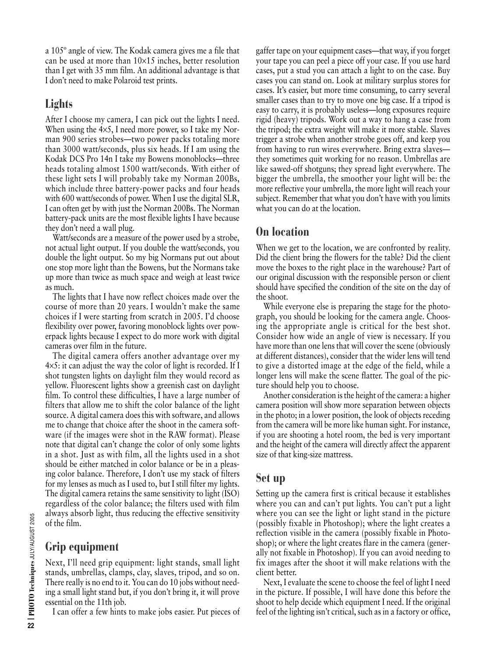**a 105º angle of view. The Kodak camera gives me a file that can be used at more than 10**×**15 inches, better resolution than I get with 35 mm film. An additional advantage is that I don't need to make Polaroid test prints.**

## **Lights**

**After I choose my camera, I can pick out the lights I need. When using the 4**×**5, I need more power, so I take my Norman 900 series strobes—two power packs totaling more than 3000 watt/seconds, plus six heads. If I am using the Kodak DCS Pro 14n I take my Bowens monoblocks—three heads totaling almost 1500 watt/seconds. With either of these light sets I will probably take my Norman 200Bs, which include three battery-power packs and four heads with 600 watt/seconds of power. When I use the digital SLR, I can often get by with just the Norman 200Bs. The Norman battery-pack units are the most flexible lights I have because they don't need a wall plug.** 

**Watt/seconds are a measure of the power used by a strobe, not actual light output. If you double the watt/seconds, you double the light output. So my big Normans put out about one stop more light than the Bowens, but the Normans take up more than twice as much space and weigh at least twice as much.** 

**The lights that I have now reflect choices made over the course of more than 20 years. I wouldn't make the same choices if I were starting from scratch in 2005. I'd choose flexibility over power, favoring monoblock lights over powerpack lights because I expect to do more work with digital cameras over film in the future.**

**The digital camera offers another advantage over my 4**×**5: it can adjust the way the color of light is recorded. If I shot tungsten lights on daylight film they would record as yellow. Fluorescent lights show a greenish cast on daylight film. To control these difficulties, I have a large number of filters that allow me to shift the color balance of the light source. A digital camera does this with software, and allows me to change that choice after the shoot in the camera software (if the images were shot in the RAW format). Please note that digital can't change the color of only some lights in a shot. Just as with film, all the lights used in a shot should be either matched in color balance or be in a pleasing color balance. Therefore, I don't use my stack of filters for my lenses as much as I used to, but I still filter my lights. The digital camera retains the same sensitivity to light (ISO) regardless of the color balance; the filters used with film always absorb light, thus reducing the effective sensitivity of the film.** 

## **Grip equipment**

**Next, I'll need grip equipment: light stands, small light stands, umbrellas, clamps, clay, slaves, tripod, and so on. There really is no end to it. You can do 10 jobs without needing a small light stand but, if you don't bring it, it will prove essential on the 11th job.** 

**I can offer a few hints to make jobs easier. Put pieces of**

**gaffer tape on your equipment cases—that way, if you forget your tape you can peel a piece off your case. If you use hard cases, put a stud you can attach a light to on the case. Buy cases you can stand on. Look at military surplus stores for cases. It's easier, but more time consuming, to carry several smaller cases than to try to move one big case. If a tripod is easy to carry, it is probably useless—long exposures require rigid (heavy) tripods. Work out a way to hang a case from the tripod; the extra weight will make it more stable. Slaves trigger a strobe when another strobe goes off, and keep you from having to run wires everywhere. Bring extra slaves they sometimes quit working for no reason. Umbrellas are like sawed-off shotguns; they spread light everywhere. The bigger the umbrella, the smoother your light will be: the more reflective your umbrella, the more light will reach your subject. Remember that what you don't have with you limits what you can do at the location.** 

### **On location**

**When we get to the location, we are confronted by reality. Did the client bring the flowers for the table? Did the client move the boxes to the right place in the warehouse? Part of our original discussion with the responsible person or client should have specified the condition of the site on the day of the shoot.** 

**While everyone else is preparing the stage for the photograph, you should be looking for the camera angle. Choosing the appropriate angle is critical for the best shot. Consider how wide an angle of view is necessary. If you have more than one lens that will cover the scene (obviously at different distances), consider that the wider lens will tend to give a distorted image at the edge of the field, while a longer lens will make the scene flatter. The goal of the picture should help you to choose.** 

**Another consideration is the height of the camera: a higher camera position will show more separation between objects in the photo; in a lower position, the look of objects receding from the camera will be more like human sight. For instance, if you are shooting a hotel room, the bed is very important and the height of the camera will directly affect the apparent size of that king-size mattress.** 

### **Set up**

**Setting up the camera first is critical because it establishes where you can and can't put lights. You can't put a light where you can see the light or light stand in the picture (possibly fixable in Photoshop); where the light creates a reflection visible in the camera (possibly fixable in Photoshop); or where the light creates flare in the camera (generally not fixable in Photoshop). If you can avoid needing to fix images after the shoot it will make relations with the client better.** 

**Next, I evaluate the scene to choose the feel of light I need in the picture. If possible, I will have done this before the shoot to help decide which equipment I need. If the original feel of the lighting isn't critical, such as in a factory or office,**